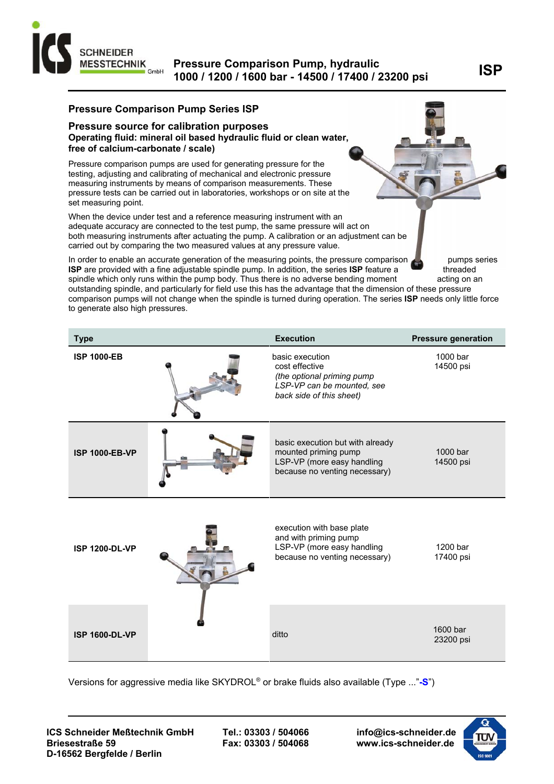

# **ISP Pressure Comparison Pump, hydraulic 1000 / 1200 / 1600 bar - 14500 / 17400 / 23200 psi**

### **Pressure Comparison Pump Series ISP**

#### **Pressure source for calibration purposes Operating fluid: mineral oil based hydraulic fluid or clean water, free of calcium-carbonate / scale)**

Pressure comparison pumps are used for generating pressure for the testing, adjusting and calibrating of mechanical and electronic pressure measuring instruments by means of comparison measurements. These pressure tests can be carried out in laboratories, workshops or on site at the set measuring point.

When the device under test and a reference measuring instrument with an adequate accuracy are connected to the test pump, the same pressure will act on both measuring instruments after actuating the pump. A calibration or an adjustment can be carried out by comparing the two measured values at any pressure value.

In order to enable an accurate generation of the measuring points, the pressure comparison pumps series **ISP** are provided with a fine adjustable spindle pump. In addition, the series **ISP** feature a threaded spindle which only runs within the pump body. Thus there is no adverse bending moment acting on an outstanding spindle, and particularly for field use this has the advantage that the dimension of these pressure comparison pumps will not change when the spindle is turned during operation. The series **ISP** needs only little force to generate also high pressures.

| <b>Type</b>           | <b>Execution</b>                                                                                                          | <b>Pressure generation</b> |
|-----------------------|---------------------------------------------------------------------------------------------------------------------------|----------------------------|
| <b>ISP 1000-EB</b>    | basic execution<br>cost effective<br>(the optional priming pump<br>LSP-VP can be mounted, see<br>back side of this sheet) | 1000 bar<br>14500 psi      |
| <b>ISP 1000-EB-VP</b> | basic execution but with already<br>mounted priming pump<br>LSP-VP (more easy handling<br>because no venting necessary)   | 1000 bar<br>14500 psi      |
| <b>ISP 1200-DL-VP</b> | execution with base plate<br>and with priming pump<br>LSP-VP (more easy handling<br>because no venting necessary)         | 1200 bar<br>17400 psi      |
| <b>ISP 1600-DL-VP</b> | ditto                                                                                                                     | 1600 bar<br>23200 psi      |

Versions for aggressive media like SKYDROL® or brake fluids also available (Type ..."**-S**")

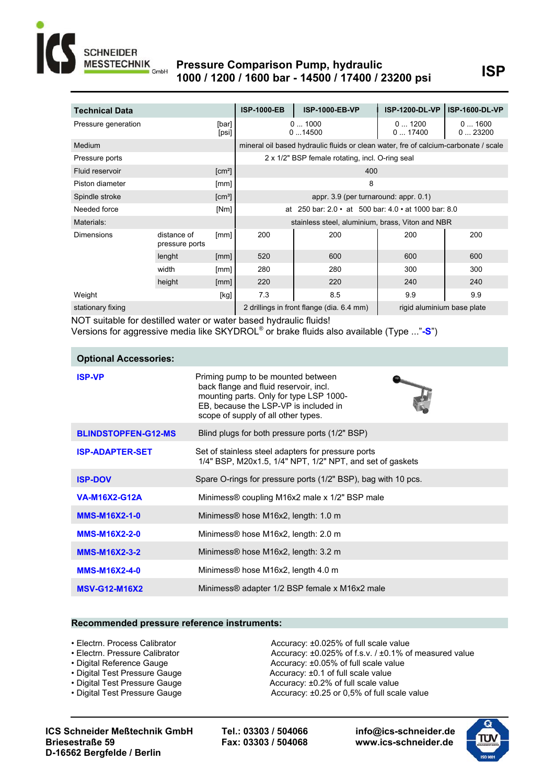

## **Pressure Comparison Pump, hydraulic**<br>1999/1999/1999 has 14509/17499/23399 pai LISP **1000 / 1200 / 1600 bar - 14500 / 17400 / 23200 psi**

| <b>Technical Data</b> |                |                    | <b>ISP-1000-EB</b> | <b>ISP-1000-EB-VP</b>                                                               | <b>ISP-1200-DL-VP</b>      | <b>ISP-1600-DL-VP</b> |
|-----------------------|----------------|--------------------|--------------------|-------------------------------------------------------------------------------------|----------------------------|-----------------------|
|                       |                |                    |                    |                                                                                     |                            |                       |
| Pressure generation   |                | [bar]              |                    | 01000                                                                               | 01200                      | 01600                 |
|                       |                | [psi]              |                    | 014500                                                                              | 017400                     | 023200                |
| <b>Medium</b>         |                |                    |                    | mineral oil based hydraulic fluids or clean water, fre of calcium-carbonate / scale |                            |                       |
| Pressure ports        |                |                    |                    | 2 x 1/2" BSP female rotating, incl. O-ring seal                                     |                            |                       |
| Fluid reservoir       |                | [cm <sup>2</sup> ] |                    | 400                                                                                 |                            |                       |
| Piston diameter       |                | [mm]               |                    | 8                                                                                   |                            |                       |
| Spindle stroke        |                | $\text{[cm}^3$     |                    | appr. 3.9 (per turnaround: appr. 0.1)                                               |                            |                       |
| Needed force          |                | [Nm]               | at                 | 250 bar: $2.0 \cdot at$ 500 bar: $4.0 \cdot at$ 1000 bar: 8.0                       |                            |                       |
| Materials:            |                |                    |                    | stainless steel, aluminium, brass, Viton and NBR                                    |                            |                       |
| <b>Dimensions</b>     | distance of    | [mm]               | 200                | 200                                                                                 | 200                        | 200                   |
|                       | pressure ports |                    |                    |                                                                                     |                            |                       |
|                       | lenght         | [mm]               | 520                | 600                                                                                 | 600                        | 600                   |
|                       | width          | [mm]               | 280                | 280                                                                                 | 300                        | 300                   |
|                       | height         | [mm]               | 220                | 220                                                                                 | 240                        | 240                   |
| Weight                |                | [kg]               | 7.3                | 8.5                                                                                 | 9.9                        | 9.9                   |
| stationary fixing     |                |                    |                    | 2 drillings in front flange (dia. 6.4 mm)                                           | rigid aluminium base plate |                       |

NOT suitable for destilled water or water based hydraulic fluids!

Versions for aggressive media like SKYDROL® or brake fluids also available (Type ..."**-S**")

| <b>Optional Accessories:</b> |                                                                                                                                                                                                         |
|------------------------------|---------------------------------------------------------------------------------------------------------------------------------------------------------------------------------------------------------|
| <b>ISP-VP</b>                | Priming pump to be mounted between<br>back flange and fluid reservoir, incl.<br>mounting parts. Only for type LSP 1000-<br>EB, because the LSP-VP is included in<br>scope of supply of all other types. |
| <b>BLINDSTOPFEN-G12-MS</b>   | Blind plugs for both pressure ports (1/2" BSP)                                                                                                                                                          |
| <b>ISP-ADAPTER-SET</b>       | Set of stainless steel adapters for pressure ports<br>1/4" BSP, M20x1.5, 1/4" NPT, 1/2" NPT, and set of gaskets                                                                                         |
| <b>ISP-DOV</b>               | Spare O-rings for pressure ports (1/2" BSP), bag with 10 pcs.                                                                                                                                           |
| <b>VA-M16X2-G12A</b>         | Minimess® coupling M16x2 male x 1/2" BSP male                                                                                                                                                           |
| <b>MMS-M16X2-1-0</b>         | Minimess <sup>®</sup> hose M16x2, length: 1.0 m                                                                                                                                                         |
| <b>MMS-M16X2-2-0</b>         | Minimess <sup>®</sup> hose M16x2, length: 2.0 m                                                                                                                                                         |
| <b>MMS-M16X2-3-2</b>         | Minimess® hose M16x2, length: 3.2 m                                                                                                                                                                     |
| <b>MMS-M16X2-4-0</b>         | Minimess® hose M16x2, length 4.0 m                                                                                                                                                                      |
| <b>MSV-G12-M16X2</b>         | Minimess® adapter 1/2 BSP female x M16x2 male                                                                                                                                                           |

#### **Recommended pressure reference instruments:**

- 
- 
- 
- 
- 
- 

• Electrn. Process Calibrator **I IPC 3000** Accuracy: ±0.025% of full scale value • Electrn. Pressure Calibrator **I IPC 2000** Accuracy: ±0.025% of f.s.v. / ±0.1% of measured value • Digital Reference Gauge **I I I I** *Accuracy: ±0.05% of full scale value* • Digital Test Pressure Gauge **I I I Accuracy: ±0.1 of full scale value** • Digital Test Pressure Gauge **I**<br>**I** Accuracy: ±0.1 of full scale value **I** Accuracy: ±0.2% of full scale value • Digital Test Pressure Gauge **I**<br> **I** Accuracy: ±0.2% of full scale value **I**<br> **Accuracy: ±0.25 or 0,5% of full scale value**<br>
Accuracy: ±0.25 or 0,5% of full scale Accuracy: ±0.25 or 0,5% of full scale value

**ICS Schneider Meßtechnik GmbH Tel.: 03303 / 504066 info@ics-schneider.de Briesestraße 59 Fax: 03303 / 504068 www.ics-schneider.de D-16562 Bergfelde / Berlin**